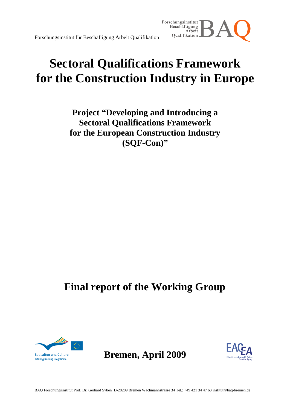# **Sectoral Qualifications Framework for the Construction Industry in Europe**

Forschungsinstitut Beschäftigung Arbeit Qualifikation.

**Project "Developing and Introducing a Sectoral Qualifications Framework for the European Construction Industry (SQF-Con)"** 

# **Final report of the Working Group**



**Bremen, April 2009** 

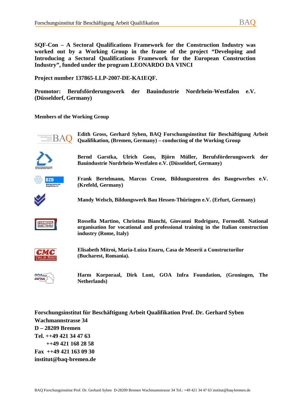**SQF-Con – A Sectoral Qualifications Framework for the Construction Industry was worked out by a Working Group in the frame of the project "Developing and Introducing a Sectoral Qualifications Framework for the European Construction Industry", funded under the program LEONARDO DA VINCI** 

**Project number 137865-LLP-2007-DE-KA1EQF.** 

**Promotor: Berufsförderungswerk der Bauindustrie Nordrhein-Westfalen e.V. (Düsseldorf, Germany)** 

**Members of the Working Group** 



**Edith Gross, Gerhard Syben, BAQ Forschungsinstitut für Beschäftigung Arbeit Qualifikation, (Bremen, Germany) – conducting of the Working Group** 







**Frank Bertelmann, Marcus Crone, Bildungszentren des Baugewerbes e.V. (Krefeld, Germany)** 



**Mandy Welsch, Bildungswerk Bau Hessen-Thüringen e.V. (Erfurt, Germany)** 

**Rossella Martino, Christina Bianchi, Giovanni Rodriguez, Formedil. National organisation for vocational and professional training in the Italian construction industry (Rome, Italy)** 



**Elisabeth Mitroi, Maria-Luiza Enaru, Casa de Meserii a Constructorilor (Bucharest, Romania).** 



**Harm Korporaal, Dirk Lont, GOA Infra Foundation, (Groningen, The Netherlands)** 

**Forschungsinstitut für Beschäftigung Arbeit Qualifikation Prof. Dr. Gerhard Syben Wachmannstrasse 34 D – 28209 Bremen Tel. ++49 421 34 47 63 ++49 421 168 28 58 Fax ++49 421 163 09 30 institut@baq-bremen.de**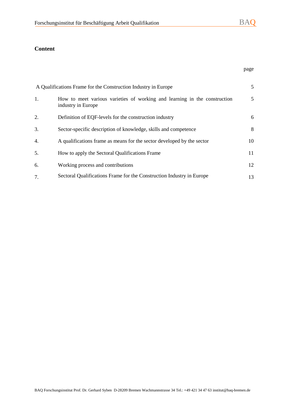## **Content**

|    | A Qualifications Frame for the Construction Industry in Europe                                  | 5  |
|----|-------------------------------------------------------------------------------------------------|----|
| 1. | How to meet various varieties of working and learning in the construction<br>industry in Europe | 5  |
| 2. | Definition of EQF-levels for the construction industry                                          | 6  |
| 3. | Sector-specific description of knowledge, skills and competence                                 | 8  |
| 4. | A qualifications frame as means for the sector developed by the sector                          | 10 |
| 5. | How to apply the Sectoral Qualifications Frame                                                  | 11 |
| 6. | Working process and contributions                                                               | 12 |
| 7. | Sectoral Qualifications Frame for the Construction Industry in Europe                           | 13 |

page and the state of the state of the state of the state of the state of the state of the state of the state o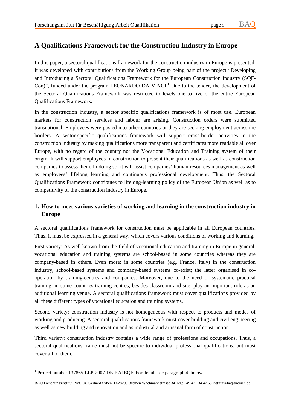# **A Qualifications Framework for the Construction Industry in Europe**

In this paper, a sectoral qualifications framework for the construction industry in Europe is presented. It was developed with contributions from the Working Group being part of the project "Developing and Introducing a Sectoral Qualifications Framework for the European Construction Industry (SQF-Con)", funded under the program LEONARDO DA VINCI.<sup>1</sup> Due to the tender, the development of the Sectoral Qualifications Framework was restricted to levels one to five of the entire European Qualifications Framework.

In the construction industry, a sector specific qualifications framework is of most use. European markets for construction services and labour are arising. Construction orders were submitted transnational. Employees were posted into other countries or they are seeking employment across the borders. A sector-specific qualifications framework will support cross-border activities in the construction industry by making qualifications more transparent and certificates more readable all over Europe, with no regard of the country nor the Vocational Education and Training system of their origin. It will support employees in construction to present their qualifications as well as construction companies to assess them. In doing so, it will assist companies' human resources management as well as employees' lifelong learning and continuous professional development. Thus, the Sectoral Qualifications Framework contributes to lifelong-learning policy of the European Union as well as to competitivity of the construction industry in Europe.

## **1. How to meet various varieties of working and learning in the construction industry in Europe**

A sectoral qualifications framework for construction must be applicable in all European countries. Thus, it must be expressed in a general way, which covers various conditions of working and learning.

First variety: As well known from the field of vocational education and training in Europe in general, vocational education and training systems are school-based in some countries whereas they are company-based in others. Even more: in some countries (e.g. France, Italy) in the construction industry, school-based systems and company-based systems co-exist; the latter organised in cooperation by training-centres and companies. Moreover, due to the need of systematic practical training, in some countries training centres, besides classroom and site, play an important role as an additional learning venue. A sectoral qualifications framework must cover qualifications provided by all these different types of vocational education and training systems.

Second variety: construction industry is not homogeneous with respect to products and modes of working and producing. A sectoral qualifications framework must cover building and civil engineering as well as new building and renovation and as industrial and artisanal form of construction.

Third variety: construction industry contains a wide range of professions and occupations. Thus, a sectoral qualifications frame must not be specific to individual professional qualifications, but must cover all of them.

 $\overline{a}$ 

<sup>&</sup>lt;sup>1</sup> Project number 137865-LLP-2007-DE-KA1EQF. For details see paragraph 4. below.

BAQ Forschungsinstitut Prof. Dr. Gerhard Syben D-28209 Bremen Wachmannstrasse 34 Tel.: +49 421 34 47 63 institut@baq-bremen.de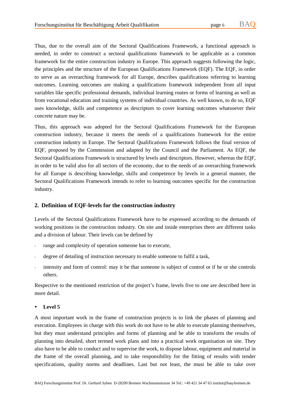Thus, due to the overall aim of the Sectoral Qualifications Framework, a functional approach is needed, in order to construct a sectoral qualifications framework to be applicable as a common framework for the entire construction industry in Europe. This approach suggests following the logic, the principles and the structure of the European Qualifications Framework (EQF). The EQF, in order to serve as an overarching framework for all Europe, describes qualifications referring to learning outcomes. Learning outcomes are making a qualifications framework independent from all input variables like specific professional demands, individual learning routes or forms of learning as well as from vocational education and training systems of individual countries. As well known, to do so, EQF uses knowledge, skills and competence as descriptors to cover learning outcomes whatsoever their concrete nature may be.

Thus, this approach was adopted for the Sectoral Qualifications Framework for the European construction industry, because it meets the needs of a qualifications framework for the entire construction industry in Europe. The Sectoral Qualifications Framework follows the final version of EQF, proposed by the Commission and adapted by the Council and the Parliament. As EQF, the Sectoral Qualifications Framework is structured by levels and descriptors. However, whereas the EQF, in order to be valid also for all sectors of the economy, due to the needs of an overarching framework for all Europe is describing knowledge, skills and competence by levels in a general manner, the Sectoral Qualifications Framework intends to refer to learning outcomes specific for the construction industry.

### **2. Definition of EQF-levels for the construction industry**

Levels of the Sectoral Qualifications Framework have to be expressed according to the demands of working positions in the construction industry. On site and inside enterprises there are different tasks and a division of labour. Their levels can be defined by

- range and complexity of operation someone has to execute,
- degree of detailing of instruction necessary to enable someone to fulfil a task,
- intensity and form of control: may it be that someone is subject of control or if he or she controls others.

Respective to the mentioned restriction of the project's frame, levels five to one are described here in more detail.

**Level 5** 

A most important work in the frame of construction projects is to link the phases of planning and execution. Employees in charge with this work do not have to be able to execute planning themselves, but they must understand principles and forms of planning and be able to transform the results of planning into detailed, short termed work plans and into a practical work organisation on site. They also have to be able to conduct and to supervise the work, to dispose labour, equipment and material in the frame of the overall planning, and to take responsibility for the fitting of results with tender specifications, quality norms and deadlines. Last but not least, the must be able to take over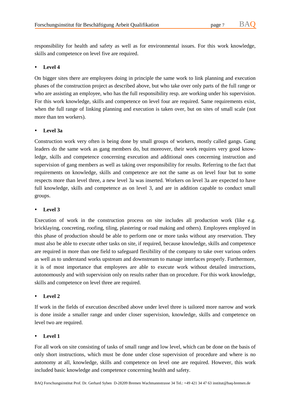responsibility for health and safety as well as for environmental issues. For this work knowledge, skills and competence on level five are required.

### **Level 4**

On bigger sites there are employees doing in principle the same work to link planning and execution phases of the construction project as described above, but who take over only parts of the full range or who are assisting an employee, who has the full responsibility resp. are working under his supervision. For this work knowledge, skills and competence on level four are required. Same requirements exist, when the full range of linking planning and execution is taken over, but on sites of small scale (not more than ten workers).

### **Level 3a**

Construction work very often is being done by small groups of workers, mostly called gangs. Gang leaders do the same work as gang members do, but moreover, their work requires very good knowledge, skills and competence concerning execution and additional ones concerning instruction and supervision of gang members as well as taking over responsibility for results. Referring to the fact that requirements on knowledge, skills and competence are not the same as on level four but to some respects more than level three, a new level 3a was inserted. Workers on level 3a are expected to have full knowledge, skills and competence as on level 3, and are in addition capable to conduct small groups.

### **Level 3**

Execution of work in the construction process on site includes all production work (like e.g. bricklaying, concreting, roofing, tiling, plastering or road making and others). Employees employed in this phase of production should be able to perform one or more tasks without any reservation. They must also be able to execute other tasks on site, if required, because knowledge, skills and competence are required in more than one field to safeguard flexibility of the company to take over various orders as well as to understand works upstream and downstream to manage interfaces properly. Furthermore, it is of most importance that employees are able to execute work without detailed instructions, autonomously and with supervision only on results rather than on procedure. For this work knowledge, skills and competence on level three are required.

### **Level 2**

If work in the fields of execution described above under level three is tailored more narrow and work is done inside a smaller range and under closer supervision, knowledge, skills and competence on level two are required.

### **Level 1**

For all work on site consisting of tasks of small range and low level, which can be done on the basis of only short instructions, which must be done under close supervision of procedure and where is no autonomy at all, knowledge, skills and competence on level one are required. However, this work included basic knowledge and competence concerning health and safety.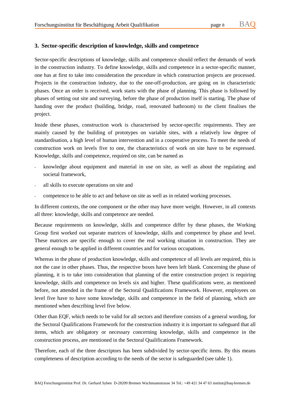### **3. Sector-specific description of knowledge, skills and competence**

Sector-specific descriptions of knowledge, skills and competence should reflect the demands of work in the construction industry. To define knowledge, skills and competence in a sector-specific manner, one has at first to take into consideration the procedure in which construction projects are processed. Projects in the construction industry, due to the one-off-production, are going on in characteristic phases. Once an order is received, work starts with the phase of planning. This phase is followed by phases of setting out site and surveying, before the phase of production itself is starting. The phase of handing over the product (building, bridge, road, renovated bathroom) to the client finalises the project.

Inside these phases, construction work is characterised by sector-specific requirements. They are mainly caused by the building of prototypes on variable sites, with a relatively low degree of standardisation, a high level of human intervention and in a cooperative process. To meet the needs of construction work on levels five to one, the characteristics of work on site have to be expressed. Knowledge, skills and competence, required on site, can be named as

- knowledge about equipment and material in use on site, as well as about the regulating and societal framework,
- all skills to execute operations on site and
- competence to be able to act and behave on site as well as in related working processes.

In different contexts, the one component or the other may have more weight. However, in all contexts all three: knowledge, skills and competence are needed.

Because requirements on knowledge, skills and competence differ by these phases, the Working Group first worked out separate matrices of knowledge, skills and competence by phase and level. These matrices are specific enough to cover the real working situation in construction. They are general enough to be applied in different countries and for various occupations.

Whereas in the phase of production knowledge, skills and competence of all levels are required, this is not the case in other phases. Thus, the respective boxes have been left blank. Concerning the phase of planning, it is to take into consideration that planning of the entire construction project is requiring knowledge, skills and competence on levels six and higher. These qualifications were, as mentioned before, not attended in the frame of the Sectoral Qualifications Framework. However, employees on level five have to have some knowledge, skills and competence in the field of planning, which are mentioned when describing level five below.

Other than EQF, which needs to be valid for all sectors and therefore consists of a general wording, for the Sectoral Qualifications Framework for the construction industry it is important to safeguard that all items, which are obligatory or necessary concerning knowledge, skills and competence in the construction process, are mentioned in the Sectoral Qualifications Framework.

Therefore, each of the three descriptors has been subdivided by sector-specific items. By this means completeness of description according to the needs of the sector is safeguarded (see table 1).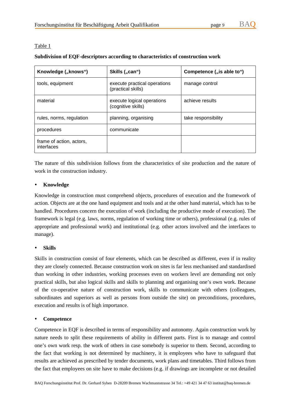### Table 1

### **Subdivision of EQF-descriptors according to characteristics of construction work**

| Knowledge ("knows")                    | Skills ("can")                                     | Competence ("is able to") |
|----------------------------------------|----------------------------------------------------|---------------------------|
| tools, equipment                       | execute practical operations<br>(practical skills) | manage control            |
| material                               | execute logical operations<br>(cognitive skills)   | achieve results           |
| rules, norms, regulation               | planning, organising                               | take responsibility       |
| procedures                             | communicate                                        |                           |
| frame of action, actors,<br>interfaces |                                                    |                           |

The nature of this subdivision follows from the characteristics of site production and the nature of work in the construction industry.

### **Knowledge**

Knowledge in construction must comprehend objects, procedures of execution and the framework of action. Objects are at the one hand equipment and tools and at the other hand material, which has to be handled. Procedures concern the execution of work (including the productive mode of execution). The framework is legal (e.g. laws, norms, regulation of working time or others), professional (e.g. rules of appropriate and professional work) and institutional (e.g. other actors involved and the interfaces to manage).

### **Skills**

Skills in construction consist of four elements, which can be described as different, even if in reality they are closely connected. Because construction work on sites is far less mechanised and standardised than working in other industries, working processes even on workers level are demanding not only practical skills, but also logical skills and skills to planning and organising one's own work. Because of the co-operative nature of construction work, skills to communicate with others (colleagues, subordinates and superiors as well as persons from outside the site) on preconditions, procedures, execution and results is of high importance.

### **Competence**

Competence in EQF is described in terms of responsibility and autonomy. Again construction work by nature needs to split these requirements of ability in different parts. First is to manage and control one's own work resp. the work of others in case somebody is superior to them. Second, according to the fact that working is not determined by machinery, it is employees who have to safeguard that results are achieved as prescribed by tender documents, work plans and timetables. Third follows from the fact that employees on site have to make decisions (e.g. if drawings are incomplete or not detailed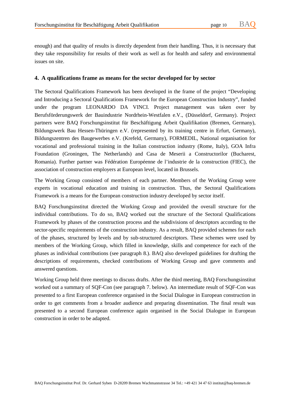enough) and that quality of results is directly dependent from their handling. Thus, it is necessary that they take responsibility for results of their work as well as for health and safety and environmental issues on site.

### **4. A qualifications frame as means for the sector developed for by sector**

The Sectoral Qualifications Framework has been developed in the frame of the project "Developing and Introducing a Sectoral Qualifications Framework for the European Construction Industry", funded under the program LEONARDO DA VINCI. Project management was taken over by Berufsförderungswerk der Bauindustrie Nordrhein-Westfalen e.V., (Düsseldorf, Germany). Project partners were BAQ Forschungsinstitut für Beschäftigung Arbeit Qualifikation (Bremen, Germany), Bildungswerk Bau Hessen-Thüringen e.V. (represented by its training centre in Erfurt, Germany), Bildungszentren des Baugewerbes e.V. (Krefeld, Germany), FORMEDIL, National organisation for vocational and professional training in the Italian construction industry (Rome, Italy), GOA Infra Foundation (Groningen, The Netherlands) and Casa de Meserii a Constructorilor (Bucharest, Romania). Further partner was Fédération Européenne de l'industrie de la construction (FIEC), the association of construction employers at European level, located in Brussels.

The Working Group consisted of members of each partner. Members of the Working Group were experts in vocational education and training in construction. Thus, the Sectoral Qualifications Framework is a means for the European construction industry developed by sector itself.

BAQ Forschungsinstitut directed the Working Group and provided the overall structure for the individual contributions. To do so, BAQ worked out the structure of the Sectoral Qualifications Framework by phases of the construction process and the subdivisions of descriptors according to the sector-specific requirements of the construction industry. As a result, BAQ provided schemes for each of the phases, structured by levels and by sub-structured descriptors. These schemes were used by members of the Working Group, which filled in knowledge, skills and competence for each of the phases as individual contributions (see paragraph 8.). BAQ also developed guidelines for drafting the descriptions of requirements, checked contributions of Working Group and gave comments and answered questions.

Working Group held three meetings to discuss drafts. After the third meeting, BAQ Forschungsinstitut worked out a summary of SQF-Con (see paragraph 7. below). An intermediate result of SQF-Con was presented to a first European conference organised in the Social Dialogue in European construction in order to get comments from a broader audience and preparing dissemination. The final result was presented to a second European conference again organised in the Social Dialogue in European construction in order to be adapted.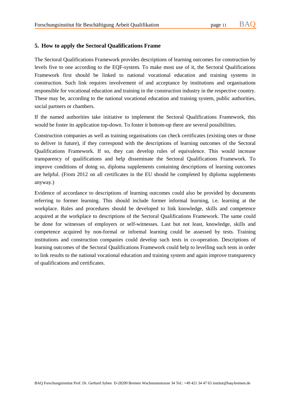### **5. How to apply the Sectoral Qualifications Frame**

The Sectoral Qualifications Framework provides descriptions of learning outcomes for construction by levels five to one according to the EQF-system. To make most use of it, the Sectoral Qualifications Framework first should be linked to national vocational education and training systems in construction. Such link requires involvement of and acceptance by institutions and organisations responsible for vocational education and training in the construction industry in the respective country. These may be, according to the national vocational education and training system, public authorities, social partners or chambers.

If the named authorities take initiative to implement the Sectoral Qualifications Framework, this would be foster its application top-down. To foster it bottom-up there are several possibilities.

Construction companies as well as training organisations can check certificates (existing ones or those to deliver in future), if they correspond with the descriptions of learning outcomes of the Sectoral Qualifications Framework. If so, they can develop rules of equivalence. This would increase transparency of qualifications and help disseminate the Sectoral Qualifications Framework. To improve conditions of doing so, diploma supplements containing descriptions of learning outcomes are helpful. (From 2012 on all certificates in the EU should be completed by diploma supplements anyway.)

Evidence of accordance to descriptions of learning outcomes could also be provided by documents referring to former learning. This should include former informal learning, i.e. learning at the workplace. Rules and procedures should be developed to link knowledge, skills and competence acquired at the workplace to descriptions of the Sectoral Qualifications Framework. The same could be done for witnesses of employers or self-witnesses. Last but not least, knowledge, skills and competence acquired by non-formal or informal learning could be assessed by tests. Training institutions and construction companies could develop such tests in co-operation. Descriptions of learning outcomes of the Sectoral Qualifications Framework could help to levelling such tests in order to link results to the national vocational education and training system and again improve transparency of qualifications and certificates.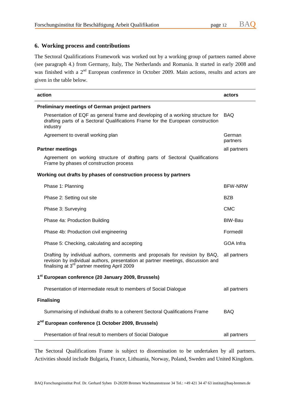### **6. Working process and contributions**

The Sectoral Qualifications Framework was worked out by a working group of partners named above (see paragraph 4.) from Germany, Italy, The Netherlands and Romania. It started in early 2008 and was finished with a 2<sup>nd</sup> European conference in October 2009. Main actions, results and actors are given in the table below.

| action                                                                                                                                                                                                                      | actors             |  |  |  |
|-----------------------------------------------------------------------------------------------------------------------------------------------------------------------------------------------------------------------------|--------------------|--|--|--|
| <b>Preliminary meetings of German project partners</b>                                                                                                                                                                      |                    |  |  |  |
| Presentation of EQF as general frame and developing of a working structure for<br>drafting parts of a Sectoral Qualifications Frame for the European construction<br>industry                                               | <b>BAQ</b>         |  |  |  |
| Agreement to overall working plan                                                                                                                                                                                           | German<br>partners |  |  |  |
| <b>Partner meetings</b>                                                                                                                                                                                                     | all partners       |  |  |  |
| Agreement on working structure of drafting parts of Sectoral Qualifications<br>Frame by phases of construction process                                                                                                      |                    |  |  |  |
| Working out drafts by phases of construction process by partners                                                                                                                                                            |                    |  |  |  |
| Phase 1: Planning                                                                                                                                                                                                           | <b>BFW-NRW</b>     |  |  |  |
| Phase 2: Setting out site                                                                                                                                                                                                   | <b>BZB</b>         |  |  |  |
| Phase 3: Surveying                                                                                                                                                                                                          | <b>CMC</b>         |  |  |  |
| Phase 4a: Production Building                                                                                                                                                                                               | BIW-Bau            |  |  |  |
| Phase 4b: Production civil engineering                                                                                                                                                                                      | Formedil           |  |  |  |
| Phase 5: Checking, calculating and accepting                                                                                                                                                                                | GOA Infra          |  |  |  |
| Drafting by individual authors, comments and proposals for revision by BAQ,<br>revision by individual authors, presentation at partner meetings, discussion and<br>finalising at 3 <sup>rd</sup> partner meeting April 2009 | all partners       |  |  |  |
| 1 <sup>st</sup> European conference (20 January 2009, Brussels)                                                                                                                                                             |                    |  |  |  |
| Presentation of intermediate result to members of Social Dialogue                                                                                                                                                           | all partners       |  |  |  |
| <b>Finalising</b>                                                                                                                                                                                                           |                    |  |  |  |
| Summarising of individual drafts to a coherent Sectoral Qualifications Frame                                                                                                                                                | <b>BAQ</b>         |  |  |  |
| 2 <sup>nd</sup> European conference (1 October 2009, Brussels)                                                                                                                                                              |                    |  |  |  |
| Presentation of final result to members of Social Dialogue                                                                                                                                                                  | all partners       |  |  |  |

The Sectoral Qualifications Frame is subject to dissemination to be undertaken by all partners. Activities should include Bulgaria, France, Lithuania, Norway, Poland, Sweden and United Kingdom.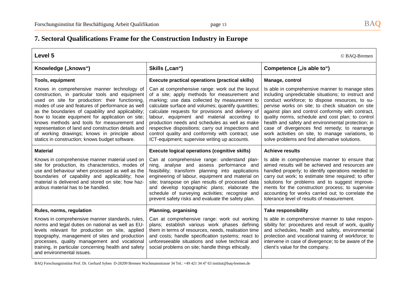# **7. Sectoral Qualifications Frame for the Construction Industry in Europe**

| Level 5<br>© BAQ-Bremen                                                                                                                                                                                                                                                                                                                                                                                                                                                                                                   |                                                                                                                                                                                                                                                                                                                                                                                                                                                                                                                           |                                                                                                                                                                                                                                                                                                                                                                                                                                                                                                                                         |
|---------------------------------------------------------------------------------------------------------------------------------------------------------------------------------------------------------------------------------------------------------------------------------------------------------------------------------------------------------------------------------------------------------------------------------------------------------------------------------------------------------------------------|---------------------------------------------------------------------------------------------------------------------------------------------------------------------------------------------------------------------------------------------------------------------------------------------------------------------------------------------------------------------------------------------------------------------------------------------------------------------------------------------------------------------------|-----------------------------------------------------------------------------------------------------------------------------------------------------------------------------------------------------------------------------------------------------------------------------------------------------------------------------------------------------------------------------------------------------------------------------------------------------------------------------------------------------------------------------------------|
| Knowledge ("knows")                                                                                                                                                                                                                                                                                                                                                                                                                                                                                                       | Skills ("can")                                                                                                                                                                                                                                                                                                                                                                                                                                                                                                            | Competence ("is able to")                                                                                                                                                                                                                                                                                                                                                                                                                                                                                                               |
| <b>Tools, equipment</b>                                                                                                                                                                                                                                                                                                                                                                                                                                                                                                   | <b>Execute practical operations (practical skills)</b>                                                                                                                                                                                                                                                                                                                                                                                                                                                                    | Manage, control                                                                                                                                                                                                                                                                                                                                                                                                                                                                                                                         |
| Knows in comprehensive manner technology of<br>construction, in particular tools and equipment<br>used on site for production: their functioning,<br>modes of use and features of performance as well<br>as the boundaries of capability and applicability;<br>how to locate equipment for application on site;<br>knows methods and tools for measurement and<br>representation of land and construction details and<br>of working drawings; knows in principle about<br>statics in construction; knows budget software. | Can at comprehensive range: work out the layout<br>of a site; apply methods for measurement and<br>marking; use data collected by measurement to<br>calculate surface and volumes; quantify quantities;<br>calculate requests for provisions and delivery of<br>labour, equipment and material according to<br>production needs and schedules as well as make<br>respective dispositions; carry out inspections and<br>control quality and conformity with contract; use<br>ICT-equipment; supervise writing up accounts. | Is able in comprehensive manner to manage sites<br>including unpredictable situations; to instruct and<br>conduct workforce; to dispose resources, to su-<br>pervise works on site; to check situation on site<br>against plan and control conformity with contract,<br>quality norms, schedule and cost plan; to control<br>health and safety and environmental protection; in<br>case of divergences find remedy; to rearrange<br>work activities on site, to manage variations, to<br>solve problems and find alternative solutions. |
| <b>Material</b>                                                                                                                                                                                                                                                                                                                                                                                                                                                                                                           | <b>Execute logical operations (cognitive skills)</b>                                                                                                                                                                                                                                                                                                                                                                                                                                                                      | <b>Achieve results</b>                                                                                                                                                                                                                                                                                                                                                                                                                                                                                                                  |
| Knows in comprehensive manner material used on<br>site for production, its characteristics, modes of<br>use and behaviour when processed as well as the<br>boundaries of capability and applicability; how<br>material is delivered and stored on site; how haz-<br>ardous material has to be handled.                                                                                                                                                                                                                    | Can at comprehensive range: understand plan-<br>ning, analyse and assess performance and<br>feasibility; transform planning into applications<br>engineering of labour, equipment and material on<br>site; transpose on plan results of processed data<br>and develop topographic plans; elaborate the<br>schedule of surveying activities; recognise and<br>prevent safety risks and evaluate the safety plan.                                                                                                           | Is able in comprehensive manner to ensure that<br>aimed results will be achieved and resources are<br>handled properly; to identify operations needed to<br>carry out work; to estimate time required; to offer<br>solutions for problems and to suggest improve-<br>ments for the construction process; to supervise<br>accounting for works carried out; to correlate the<br>tolerance level of results of measurement.                                                                                                               |
| Rules, norms, regulation                                                                                                                                                                                                                                                                                                                                                                                                                                                                                                  | <b>Planning, organising</b>                                                                                                                                                                                                                                                                                                                                                                                                                                                                                               | <b>Take responsibility</b>                                                                                                                                                                                                                                                                                                                                                                                                                                                                                                              |
| Knows in comprehensive manner standards, rules,<br>norms and legal duties on national as well as EU-<br>levels relevant for production on site, applied<br>topography, management of sites and production<br>processes, quality management and vocational<br>training, in particular concerning health and safety<br>and environmental issues.                                                                                                                                                                            | Can at comprehensive range: work out working<br>plans; establish various work phases defining<br>them in terms of resources, needs, realisation time<br>and costs; handle specification systems; react to<br>unforeseeable situations and solve technical and<br>social problems on site; handle things ethically.                                                                                                                                                                                                        | Is able in comprehensive manner to take respon-<br>sibility for: procedures and result of work, quality<br>and schedules, health and safety, environmental<br>protection and vocational training of workforce; to<br>intervene in case of divergence; to be aware of the<br>client's value for the company.                                                                                                                                                                                                                             |

BAQ Forschungsinstitut Prof. Dr. Gerhard Syben D-28209 Bremen Wachmannstrasse 34 Tel.: +49 421 34 47 63 institut@baq-bremen.de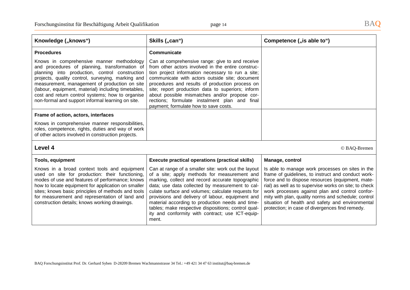protection; in case of divergences find remedy.

| Knowledge ("knows")                                                                                                                                                                                                                                                                                                                                                                                                | Skills ("can")                                                                                                                                                                                                                                                                                                                                                                                                                                                  | Competence ("is able to")                                                                                                                                                                                                                                                                                                                                                         |
|--------------------------------------------------------------------------------------------------------------------------------------------------------------------------------------------------------------------------------------------------------------------------------------------------------------------------------------------------------------------------------------------------------------------|-----------------------------------------------------------------------------------------------------------------------------------------------------------------------------------------------------------------------------------------------------------------------------------------------------------------------------------------------------------------------------------------------------------------------------------------------------------------|-----------------------------------------------------------------------------------------------------------------------------------------------------------------------------------------------------------------------------------------------------------------------------------------------------------------------------------------------------------------------------------|
| <b>Procedures</b>                                                                                                                                                                                                                                                                                                                                                                                                  | Communicate                                                                                                                                                                                                                                                                                                                                                                                                                                                     |                                                                                                                                                                                                                                                                                                                                                                                   |
| Knows in comprehensive manner methodology<br>and procedures of planning, transformation of<br>planning into production, control construction<br>projects, quality control, surveying, marking and<br>measurement, management of production on site<br>(labour, equipment, material) including timetables,<br>cost and return control systems; how to organise<br>non-formal and support informal learning on site. | Can at comprehensive range: give to and receive<br>from other actors involved in the entire construc-<br>tion project information necessary to run a site;<br>communicate with actors outside site; document<br>procedures and results of production process on<br>site; report production data to superiors; inform<br>about possible mismatches and/or propose cor-<br>rections; formulate instalment plan and final<br>payment; formulate how to save costs. |                                                                                                                                                                                                                                                                                                                                                                                   |
| Frame of action, actors, interfaces                                                                                                                                                                                                                                                                                                                                                                                |                                                                                                                                                                                                                                                                                                                                                                                                                                                                 |                                                                                                                                                                                                                                                                                                                                                                                   |
| Knows in comprehensive manner responsibilities,<br>roles, competence, rights, duties and way of work<br>of other actors involved in construction projects.                                                                                                                                                                                                                                                         |                                                                                                                                                                                                                                                                                                                                                                                                                                                                 |                                                                                                                                                                                                                                                                                                                                                                                   |
| Level 4<br>© BAQ-Bremen                                                                                                                                                                                                                                                                                                                                                                                            |                                                                                                                                                                                                                                                                                                                                                                                                                                                                 |                                                                                                                                                                                                                                                                                                                                                                                   |
| Tools, equipment                                                                                                                                                                                                                                                                                                                                                                                                   | <b>Execute practical operations (practical skills)</b>                                                                                                                                                                                                                                                                                                                                                                                                          | Manage, control                                                                                                                                                                                                                                                                                                                                                                   |
| Knows in a broad context tools and equipment<br>used on site for production: their functioning,<br>modes of use and features of performance; knows<br>how to locate equipment for application on smaller<br>sites; knows basic principles of methods and tools<br>for measurement and representation of land and<br>construction details; knows working drawings.                                                  | Can at range of a smaller site: work out the layout<br>of a site; apply methods for measurement and<br>marking, collect and record accurate topographic<br>data; use data collected by measurement to cal-<br>culate surface and volumes; calculate requests for<br>provisions and delivery of labour, equipment and<br>material according to production needs and time-                                                                                        | Is able to manage work processes on sites in the<br>frame of guidelines, to instruct and conduct work-<br>force and to dispose resources (equipment, mate-<br>rial) as well as to supervise works on site; to check<br>work processes against plan and control confor-<br>mity with plan, quality norms and schedule; control<br>situation of health and safety and environmental |

tables; make respective dispositions; control quality and conformity with contract; use ICT-equip-

BAQ Forschungsinstitut Prof. Dr. Gerhard Syben D-28209 Bremen Wachmannstrasse 34 Tel.: +49 421 34 47 63 institut@baq-bremen.de

ment.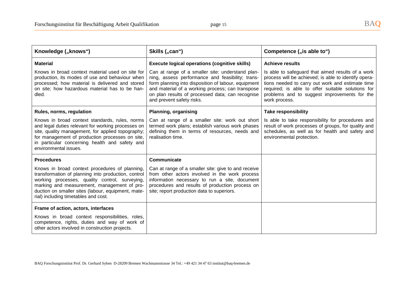| Knowledge ("knows")                                                                                                                                                                                                                                                                                  | Skills ("can")                                                                                                                                                                                                                                                                                   | Competence ("is able to")                                                                                                                                                                                                                                                           |
|------------------------------------------------------------------------------------------------------------------------------------------------------------------------------------------------------------------------------------------------------------------------------------------------------|--------------------------------------------------------------------------------------------------------------------------------------------------------------------------------------------------------------------------------------------------------------------------------------------------|-------------------------------------------------------------------------------------------------------------------------------------------------------------------------------------------------------------------------------------------------------------------------------------|
| <b>Material</b>                                                                                                                                                                                                                                                                                      | <b>Execute logical operations (cognitive skills)</b>                                                                                                                                                                                                                                             | <b>Achieve results</b>                                                                                                                                                                                                                                                              |
| Knows in broad context material used on site for<br>production, its modes of use and behaviour when<br>processed; how material is delivered and stored<br>on site; how hazardous material has to be han-<br>dled.                                                                                    | Can at range of a smaller site: understand plan-<br>ning, assess performance and feasibility; trans-<br>form planning into disposition of labour, equipment<br>and material of a working process; can transpose<br>on plan results of processed data; can recognise<br>and prevent safety risks. | Is able to safeguard that aimed results of a work<br>process will be achieved; is able to identify opera-<br>tions needed to carry out work and estimate time<br>required; is able to offer suitable solutions for<br>problems and to suggest improvements for the<br>work process. |
| Rules, norms, regulation                                                                                                                                                                                                                                                                             | <b>Planning, organising</b>                                                                                                                                                                                                                                                                      | <b>Take responsibility</b>                                                                                                                                                                                                                                                          |
| Knows in broad context standards, rules, norms<br>and legal duties relevant for working processes on<br>site, quality management, for applied topography;<br>for management of production processes on site,<br>in particular concerning health and safety and<br>environmental issues.              | Can at range of a smaller site: work out short<br>termed work plans; establish various work phases<br>defining them in terms of resources, needs and<br>realisation time.                                                                                                                        | Is able to take responsibility for procedures and<br>result of work processes of groups, for quality and<br>schedules, as well as for health and safety and<br>environmental protection.                                                                                            |
| <b>Procedures</b>                                                                                                                                                                                                                                                                                    | Communicate                                                                                                                                                                                                                                                                                      |                                                                                                                                                                                                                                                                                     |
| Knows in broad context procedures of planning,<br>transformation of planning into production, control<br>working processes, quality control, surveying,<br>marking and measurement, management of pro-<br>duction on smaller sites (labour, equipment, mate-<br>rial) including timetables and cost. | Can at range of a smaller site: give to and receive<br>from other actors involved in the work process<br>information necessary to run a site, document<br>procedures and results of production process on<br>site; report production data to superiors.                                          |                                                                                                                                                                                                                                                                                     |
| Frame of action, actors, interfaces                                                                                                                                                                                                                                                                  |                                                                                                                                                                                                                                                                                                  |                                                                                                                                                                                                                                                                                     |
| Knows in broad context responsibilities, roles,<br>competence, rights, duties and way of work of<br>other actors involved in construction projects.                                                                                                                                                  |                                                                                                                                                                                                                                                                                                  |                                                                                                                                                                                                                                                                                     |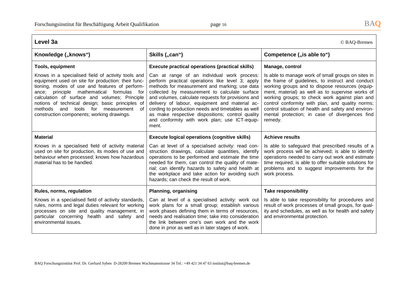| Level 3a<br>© BAQ-Bremen                                                                                                                                                                                                                                                                                                                                                                                         |                                                                                                                                                                                                                                                                                                                                                                                                                                                                               |                                                                                                                                                                                                                                                                                                                                                                                                                                         |
|------------------------------------------------------------------------------------------------------------------------------------------------------------------------------------------------------------------------------------------------------------------------------------------------------------------------------------------------------------------------------------------------------------------|-------------------------------------------------------------------------------------------------------------------------------------------------------------------------------------------------------------------------------------------------------------------------------------------------------------------------------------------------------------------------------------------------------------------------------------------------------------------------------|-----------------------------------------------------------------------------------------------------------------------------------------------------------------------------------------------------------------------------------------------------------------------------------------------------------------------------------------------------------------------------------------------------------------------------------------|
| Knowledge ("knows")                                                                                                                                                                                                                                                                                                                                                                                              | Skills ("can")                                                                                                                                                                                                                                                                                                                                                                                                                                                                | Competence ("is able to")                                                                                                                                                                                                                                                                                                                                                                                                               |
| <b>Tools, equipment</b>                                                                                                                                                                                                                                                                                                                                                                                          | <b>Execute practical operations (practical skills)</b>                                                                                                                                                                                                                                                                                                                                                                                                                        | Manage, control                                                                                                                                                                                                                                                                                                                                                                                                                         |
| Knows in a specialised field of activity tools and<br>equipment used on site for production: their func-<br>tioning, modes of use and features of perform-<br>ance; principle mathematical formulas<br>for f<br>calculation of surface and volumes; Principle<br>notions of technical design; basic principles of<br>tools for<br>measurement<br>methods and<br>of<br>construction components; working drawings. | Can at range of an individual work process:<br>perform practical operations like level 3; apply<br>methods for measurement and marking; use data<br>collected by measurement to calculate surface<br>and volumes, calculate requests for provisions and<br>delivery of labour, equipment and material ac-<br>cording to production needs and timetables as well<br>as make respective dispositions; control quality<br>and conformity with work plan; use ICT-equip-<br>ment. | Is able to manage work of small groups on sites in<br>the frame of guidelines, to instruct and conduct<br>working groups and to dispose resources (equip-<br>ment, material) as well as to supervise works of<br>working groups; to check work against plan and<br>control conformity with plan, and quality norms;<br>control situation of health and safety and environ-<br>mental protection; in case of divergences find<br>remedy. |
| <b>Material</b>                                                                                                                                                                                                                                                                                                                                                                                                  | <b>Execute logical operations (cognitive skills)</b>                                                                                                                                                                                                                                                                                                                                                                                                                          | <b>Achieve results</b>                                                                                                                                                                                                                                                                                                                                                                                                                  |
| Knows in a specialised field of activity material<br>used on site for production, its modes of use and<br>behaviour when processed; knows how hazardous<br>material has to be handled.                                                                                                                                                                                                                           | Can at level of a specialised activity: read con-<br>struction drawings, calculate quantities, identify<br>operations to be performed and estimate the time<br>needed for them, can control the quality of mate-<br>rial; can identify hazards to safety and health at<br>the workplace and take action for avoiding such<br>hazards; can check the result of work.                                                                                                           | Is able to safeguard that prescribed results of a<br>work process will be achieved; is able to identify<br>operations needed to carry out work and estimate<br>time required; is able to offer suitable solutions for<br>problems and to suggest improvements for the<br>work process.                                                                                                                                                  |
| Rules, norms, regulation                                                                                                                                                                                                                                                                                                                                                                                         | <b>Planning, organising</b>                                                                                                                                                                                                                                                                                                                                                                                                                                                   | <b>Take responsibility</b>                                                                                                                                                                                                                                                                                                                                                                                                              |
| Knows in a specialised field of activity standards,<br>rules, norms and legal duties relevant for working<br>processes on site and quality management, in<br>particular concerning health and safety and<br>environmental issues.                                                                                                                                                                                | Can at level of a specialised activity: work out<br>work plans for a small group; establish various<br>work phases defining them in terms of resources,<br>needs and realisation time; take into consideration<br>the link between one's own work and the work<br>done in prior as well as in later stages of work.                                                                                                                                                           | Is able to take responsibility for procedures and<br>result of work processes of small groups, for qual-<br>ity and schedules, as well as for health and safety<br>and environmental protection.                                                                                                                                                                                                                                        |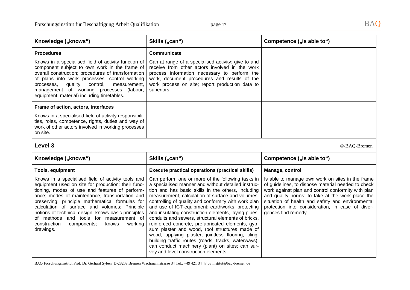| Knowledge ("knows")                                                                                                                                                                                                                                                                                                                                                                                                                                                                | Skills ("can")                                                                                                                                                                                                                                                                                                                                                                                                                                                                                                                                                                                                                                                                                                                                              | Competence ("is able to")                                                                                                                                                                                                                                                                                                                       |
|------------------------------------------------------------------------------------------------------------------------------------------------------------------------------------------------------------------------------------------------------------------------------------------------------------------------------------------------------------------------------------------------------------------------------------------------------------------------------------|-------------------------------------------------------------------------------------------------------------------------------------------------------------------------------------------------------------------------------------------------------------------------------------------------------------------------------------------------------------------------------------------------------------------------------------------------------------------------------------------------------------------------------------------------------------------------------------------------------------------------------------------------------------------------------------------------------------------------------------------------------------|-------------------------------------------------------------------------------------------------------------------------------------------------------------------------------------------------------------------------------------------------------------------------------------------------------------------------------------------------|
| <b>Procedures</b>                                                                                                                                                                                                                                                                                                                                                                                                                                                                  | Communicate                                                                                                                                                                                                                                                                                                                                                                                                                                                                                                                                                                                                                                                                                                                                                 |                                                                                                                                                                                                                                                                                                                                                 |
| Knows in a specialised field of activity function of<br>component subject to own work in the frame of<br>overall construction; procedures of transformation<br>of plans into work processes, control working<br>quality<br>control,<br>measurement,<br>processes,<br>management of working processes<br>(labour,<br>equipment, material) including timetables.                                                                                                                     | Can at range of a specialised activity: give to and<br>receive from other actors involved in the work<br>process information necessary to perform the<br>work, document procedures and results of the<br>work process on site; report production data to<br>superiors.                                                                                                                                                                                                                                                                                                                                                                                                                                                                                      |                                                                                                                                                                                                                                                                                                                                                 |
| Frame of action, actors, interfaces                                                                                                                                                                                                                                                                                                                                                                                                                                                |                                                                                                                                                                                                                                                                                                                                                                                                                                                                                                                                                                                                                                                                                                                                                             |                                                                                                                                                                                                                                                                                                                                                 |
| Knows in a specialised field of activity responsibili-<br>ties, roles, competence, rights, duties and way of<br>work of other actors involved in working processes<br>on site.                                                                                                                                                                                                                                                                                                     |                                                                                                                                                                                                                                                                                                                                                                                                                                                                                                                                                                                                                                                                                                                                                             |                                                                                                                                                                                                                                                                                                                                                 |
| Level 3                                                                                                                                                                                                                                                                                                                                                                                                                                                                            |                                                                                                                                                                                                                                                                                                                                                                                                                                                                                                                                                                                                                                                                                                                                                             | ©-BAQ-Bremen                                                                                                                                                                                                                                                                                                                                    |
| Knowledge ("knows")                                                                                                                                                                                                                                                                                                                                                                                                                                                                | Skills ("can")                                                                                                                                                                                                                                                                                                                                                                                                                                                                                                                                                                                                                                                                                                                                              | Competence ("is able to")                                                                                                                                                                                                                                                                                                                       |
| <b>Tools, equipment</b>                                                                                                                                                                                                                                                                                                                                                                                                                                                            | <b>Execute practical operations (practical skills)</b>                                                                                                                                                                                                                                                                                                                                                                                                                                                                                                                                                                                                                                                                                                      | Manage, control                                                                                                                                                                                                                                                                                                                                 |
| Knows in a specialised field of activity tools and<br>equipment used on site for production: their func-<br>tioning, modes of use and features of perform-<br>ance; modes of maintenance, transportation and<br>preserving; principle mathematical formulas for<br>calculation of surface and volumes; Principle<br>notions of technical design; knows basic principles<br>of methods and tools for measurement of<br>construction<br>components;<br>working<br>knows<br>drawings. | Can perform one or more of the following tasks in<br>a specialised manner and without detailed instruc-<br>tion and has basic skills in the others, including<br>measurement, calculation of surface and volumes;<br>controlling of quality and conformity with work plan<br>and use of ICT-equipment: earthworks, protecting<br>and insulating construction elements, laying pipes,<br>conduits and sewers, structural elements of bricks,<br>reinforced concrete, prefabricated elements, gyp-<br>sum plaster and wood, roof structures made of<br>wood, applying plaster, jointless flooring, tiling,<br>building traffic routes (roads, tracks, waterways);<br>can conduct machinery (plant) on sites; can sur-<br>vey and level construction elements. | Is able to manage own work on sites in the frame<br>of guidelines, to dispose material needed to check<br>work against plan and control conformity with plan<br>and quality norms; to take at the work place the<br>situation of health and safety and environmental<br>protection into consideration, in case of diver-<br>gences find remedy. |

BAQ Forschungsinstitut Prof. Dr. Gerhard Syben D-28209 Bremen Wachmannstrasse 34 Tel.: +49 421 34 47 63 institut@baq-bremen.de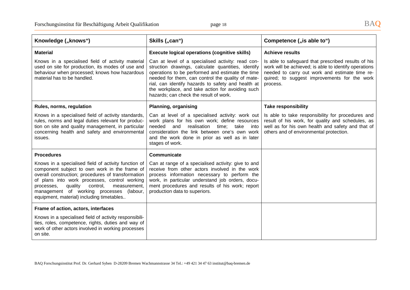| Knowledge ("knows")                                                                                                                                                                                                                                                                                                                                        | Skills ("can")                                                                                                                                                                                                                                                                                                                                                       | Competence ("is able to")                                                                                                                                                                                                  |
|------------------------------------------------------------------------------------------------------------------------------------------------------------------------------------------------------------------------------------------------------------------------------------------------------------------------------------------------------------|----------------------------------------------------------------------------------------------------------------------------------------------------------------------------------------------------------------------------------------------------------------------------------------------------------------------------------------------------------------------|----------------------------------------------------------------------------------------------------------------------------------------------------------------------------------------------------------------------------|
| <b>Material</b>                                                                                                                                                                                                                                                                                                                                            | <b>Execute logical operations (cognitive skills)</b>                                                                                                                                                                                                                                                                                                                 | <b>Achieve results</b>                                                                                                                                                                                                     |
| Knows in a specialised field of activity material<br>used on site for production, its modes of use and<br>behaviour when processed; knows how hazardous<br>material has to be handled.                                                                                                                                                                     | Can at level of a specialised activity: read con-<br>struction drawings, calculate quantities, identify<br>operations to be performed and estimate the time<br>needed for them, can control the quality of mate-<br>rial, can identify hazards to safety and health at<br>the workplace, and take action for avoiding such<br>hazards; can check the result of work. | Is able to safeguard that prescribed results of his<br>work will be achieved; is able to identify operations<br>needed to carry out work and estimate time re-<br>quired; to suggest improvements for the work<br>process. |
| Rules, norms, regulation                                                                                                                                                                                                                                                                                                                                   | <b>Planning, organising</b>                                                                                                                                                                                                                                                                                                                                          | <b>Take responsibility</b>                                                                                                                                                                                                 |
| Knows in a specialised field of activity standards,<br>rules, norms and legal duties relevant for produc-<br>tion on site and quality management, in particular<br>concerning health and safety and environmental<br>issues.                                                                                                                               | Can at level of a specialised activity: work out<br>work plans for his own work; define resources<br>needed<br>and<br>realisation<br>time; take<br>into<br>consideration the link between one's own work<br>and the work done in prior as well as in later<br>stages of work.                                                                                        | Is able to take responsibility for procedures and<br>result of his work, for quality and schedules, as<br>well as for his own health and safety and that of<br>others and of environmental protection.                     |
| <b>Procedures</b>                                                                                                                                                                                                                                                                                                                                          | Communicate                                                                                                                                                                                                                                                                                                                                                          |                                                                                                                                                                                                                            |
| Knows in a specialised field of activity function of<br>component subject to own work in the frame of<br>overall construction; procedures of transformation<br>of plans into work processes, control working<br>quality<br>control,<br>measurement,<br>processes.<br>management of working processes (labour,<br>equipment, material) including timetables | Can at range of a specialised activity: give to and<br>receive from other actors involved in the work<br>process information necessary to perform the<br>work, in particular understand job orders, docu-<br>ment procedures and results of his work; report<br>production data to superiors.                                                                        |                                                                                                                                                                                                                            |
| Frame of action, actors, interfaces                                                                                                                                                                                                                                                                                                                        |                                                                                                                                                                                                                                                                                                                                                                      |                                                                                                                                                                                                                            |
| Knows in a specialised field of activity responsibili-<br>ties, roles, competence, rights, duties and way of<br>work of other actors involved in working processes<br>on site.                                                                                                                                                                             |                                                                                                                                                                                                                                                                                                                                                                      |                                                                                                                                                                                                                            |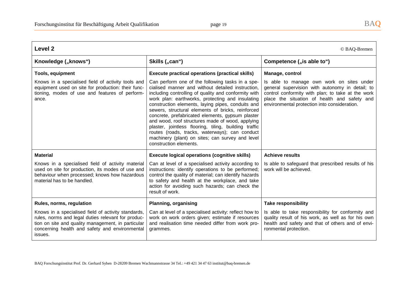| Level <sub>2</sub><br>© BAQ-Bremen                                                                                                                                                                                           |                                                                                                                                                                                                                                                                                                                                                                                                                                                                                                                                                                                                                              |                                                                                                                                                                                                                                                   |
|------------------------------------------------------------------------------------------------------------------------------------------------------------------------------------------------------------------------------|------------------------------------------------------------------------------------------------------------------------------------------------------------------------------------------------------------------------------------------------------------------------------------------------------------------------------------------------------------------------------------------------------------------------------------------------------------------------------------------------------------------------------------------------------------------------------------------------------------------------------|---------------------------------------------------------------------------------------------------------------------------------------------------------------------------------------------------------------------------------------------------|
| Knowledge ("knows")                                                                                                                                                                                                          | Skills ("can")                                                                                                                                                                                                                                                                                                                                                                                                                                                                                                                                                                                                               | Competence ("is able to")                                                                                                                                                                                                                         |
| <b>Tools, equipment</b>                                                                                                                                                                                                      | <b>Execute practical operations (practical skills)</b>                                                                                                                                                                                                                                                                                                                                                                                                                                                                                                                                                                       | Manage, control                                                                                                                                                                                                                                   |
| Knows in a specialised field of activity tools and<br>equipment used on site for production: their func-<br>tioning, modes of use and features of perform-<br>ance.                                                          | Can perform one of the following tasks in a spe-<br>cialised manner and without detailed instruction,<br>including controlling of quality and conformity with<br>work plan: earthworks, protecting and insulating<br>construction elements, laying pipes, conduits and<br>sewers, structural elements of bricks, reinforced<br>concrete, prefabricated elements, gypsum plaster<br>and wood, roof structures made of wood, applying<br>plaster, jointless flooring, tiling, building traffic<br>routes (roads, tracks, waterways); can conduct<br>machinery (plant) on sites; can survey and level<br>construction elements. | Is able to manage own work on sites under<br>general supervision with autonomy in detail; to<br>control conformity with plan; to take at the work<br>place the situation of health and safety and<br>environmental protection into consideration. |
| <b>Material</b>                                                                                                                                                                                                              | <b>Execute logical operations (cognitive skills)</b>                                                                                                                                                                                                                                                                                                                                                                                                                                                                                                                                                                         | <b>Achieve results</b>                                                                                                                                                                                                                            |
| Knows in a specialised field of activity material<br>used on site for production, its modes of use and<br>behaviour when processed; knows how hazardous<br>material has to be handled.                                       | Can at level of a specialised activity according to<br>instructions: identify operations to be performed;<br>control the quality of material; can identify hazards<br>to safety and health at the workplace, and take<br>action for avoiding such hazards; can check the<br>result of work.                                                                                                                                                                                                                                                                                                                                  | Is able to safeguard that prescribed results of his<br>work will be achieved.                                                                                                                                                                     |
| Rules, norms, regulation                                                                                                                                                                                                     | <b>Planning, organising</b>                                                                                                                                                                                                                                                                                                                                                                                                                                                                                                                                                                                                  | <b>Take responsibility</b>                                                                                                                                                                                                                        |
| Knows in a specialised field of activity standards,<br>rules, norms and legal duties relevant for produc-<br>tion on site and quality management, in particular<br>concerning health and safety and environmental<br>issues. | Can at level of a specialised activity: reflect how to<br>work on work orders given; estimate if resources<br>and realisation time needed differ from work pro-<br>grammes.                                                                                                                                                                                                                                                                                                                                                                                                                                                  | Is able to take responsibility for conformity and<br>quality result of his work, as well as for his own<br>health and safety and that of others and of envi-<br>ronmental protection.                                                             |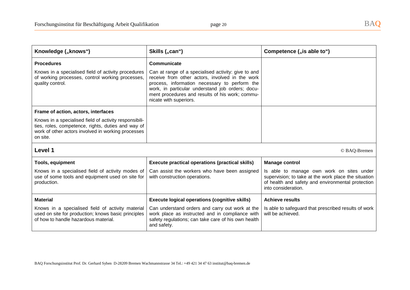| Knowledge ("knows")                                                                                                                                                            | Skills ("can")                                                                                                                                                                                                                                                                           | Competence ("is able to")                                                                                                                                                     |
|--------------------------------------------------------------------------------------------------------------------------------------------------------------------------------|------------------------------------------------------------------------------------------------------------------------------------------------------------------------------------------------------------------------------------------------------------------------------------------|-------------------------------------------------------------------------------------------------------------------------------------------------------------------------------|
| <b>Procedures</b>                                                                                                                                                              | Communicate                                                                                                                                                                                                                                                                              |                                                                                                                                                                               |
| Knows in a specialised field of activity procedures<br>of working processes, control working processes,<br>quality control.                                                    | Can at range of a specialised activity: give to and<br>receive from other actors, involved in the work<br>process, information necessary to perform the<br>work, in particular understand job orders; docu-<br>ment procedures and results of his work; commu-<br>nicate with superiors. |                                                                                                                                                                               |
| Frame of action, actors, interfaces                                                                                                                                            |                                                                                                                                                                                                                                                                                          |                                                                                                                                                                               |
| Knows in a specialised field of activity responsibili-<br>ties, roles, competence, rights, duties and way of<br>work of other actors involved in working processes<br>on site. |                                                                                                                                                                                                                                                                                          |                                                                                                                                                                               |
| Level 1                                                                                                                                                                        |                                                                                                                                                                                                                                                                                          | © BAQ-Bremen                                                                                                                                                                  |
| <b>Tools, equipment</b>                                                                                                                                                        | <b>Execute practical operations (practical skills)</b>                                                                                                                                                                                                                                   | <b>Manage control</b>                                                                                                                                                         |
| Knows in a specialised field of activity modes of<br>use of some tools and equipment used on site for<br>production.                                                           | Can assist the workers who have been assigned<br>with construction operations.                                                                                                                                                                                                           | Is able to manage own work on sites under<br>supervision; to take at the work place the situation<br>of health and safety and environmental protection<br>into consideration. |
| <b>Material</b>                                                                                                                                                                | <b>Execute logical operations (cognitive skills)</b>                                                                                                                                                                                                                                     | <b>Achieve results</b>                                                                                                                                                        |
| Knows in a specialised field of activity material<br>used on site for production; knows basic principles<br>of how to handle hazardous material.                               | Can understand orders and carry out work at the<br>work place as instructed and in compliance with<br>safety regulations; can take care of his own health<br>and safety.                                                                                                                 | Is able to safeguard that prescribed results of work<br>will be achieved.                                                                                                     |